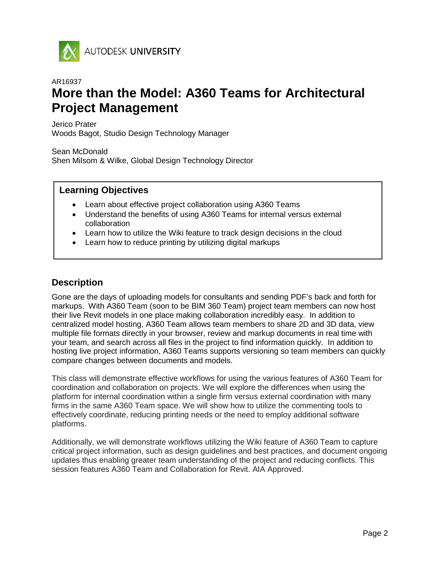

#### AR16937

# **More than the Model: A360 Teams for Architectural Project Management**

Jerico Prater

Woods Bagot, Studio Design Technology Manager

Sean McDonald Shen Milsom & Wilke, Global Design Technology Director

### **Learning Objectives**

- Learn about effective project collaboration using A360 Teams
- Understand the benefits of using A360 Teams for internal versus external collaboration
- Learn how to utilize the Wiki feature to track design decisions in the cloud
- Learn how to reduce printing by utilizing digital markups

## **Description**

Gone are the days of uploading models for consultants and sending PDF's back and forth for markups. With A360 Team (soon to be BIM 360 Team) project team members can now host their live Revit models in one place making collaboration incredibly easy. In addition to centralized model hosting, A360 Team allows team members to share 2D and 3D data, view multiple file formats directly in your browser, review and markup documents in real time with your team, and search across all files in the project to find information quickly. In addition to hosting live project information, A360 Teams supports versioning so team members can quickly compare changes between documents and models.

This class will demonstrate effective workflows for using the various features of A360 Team for coordination and collaboration on projects. We will explore the differences when using the platform for internal coordination within a single firm versus external coordination with many firms in the same A360 Team space. We will show how to utilize the commenting tools to effectively coordinate, reducing printing needs or the need to employ additional software platforms.

Additionally, we will demonstrate workflows utilizing the Wiki feature of A360 Team to capture critical project information, such as design guidelines and best practices, and document ongoing updates thus enabling greater team understanding of the project and reducing conflicts. This session features A360 Team and Collaboration for Revit. AIA Approved.